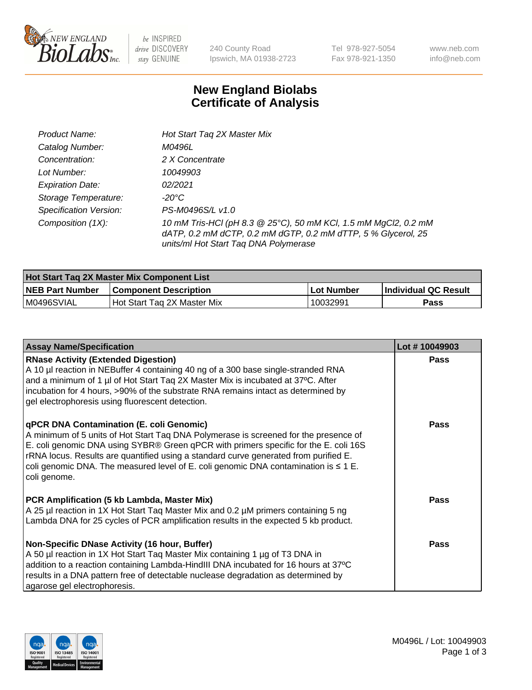

be INSPIRED drive DISCOVERY stay GENUINE

240 County Road Ipswich, MA 01938-2723 Tel 978-927-5054 Fax 978-921-1350 www.neb.com info@neb.com

## **New England Biolabs Certificate of Analysis**

| Product Name:                 | Hot Start Tag 2X Master Mix                                                                                                                                               |
|-------------------------------|---------------------------------------------------------------------------------------------------------------------------------------------------------------------------|
| Catalog Number:               | M0496L                                                                                                                                                                    |
| Concentration:                | 2 X Concentrate                                                                                                                                                           |
| Lot Number:                   | 10049903                                                                                                                                                                  |
| <b>Expiration Date:</b>       | 02/2021                                                                                                                                                                   |
| Storage Temperature:          | -20°C                                                                                                                                                                     |
| <b>Specification Version:</b> | PS-M0496S/L v1.0                                                                                                                                                          |
| Composition (1X):             | 10 mM Tris-HCl (pH 8.3 @ 25°C), 50 mM KCl, 1.5 mM MgCl2, 0.2 mM<br>dATP, 0.2 mM dCTP, 0.2 mM dGTP, 0.2 mM dTTP, 5 % Glycerol, 25<br>units/ml Hot Start Taq DNA Polymerase |

| Hot Start Taq 2X Master Mix Component List |                              |             |                      |  |
|--------------------------------------------|------------------------------|-------------|----------------------|--|
| <b>NEB Part Number</b>                     | <b>Component Description</b> | ∣Lot Number | Individual QC Result |  |
| M0496SVIAL                                 | Hot Start Tag 2X Master Mix  | 10032991    | Pass                 |  |

| <b>Assay Name/Specification</b>                                                                                                                                                                                                                                                                                                                                                                                              | Lot #10049903 |
|------------------------------------------------------------------------------------------------------------------------------------------------------------------------------------------------------------------------------------------------------------------------------------------------------------------------------------------------------------------------------------------------------------------------------|---------------|
| <b>RNase Activity (Extended Digestion)</b><br>A 10 µl reaction in NEBuffer 4 containing 40 ng of a 300 base single-stranded RNA<br>and a minimum of 1 µl of Hot Start Taq 2X Master Mix is incubated at 37°C. After<br>incubation for 4 hours, >90% of the substrate RNA remains intact as determined by<br>gel electrophoresis using fluorescent detection.                                                                 | <b>Pass</b>   |
| qPCR DNA Contamination (E. coli Genomic)<br>A minimum of 5 units of Hot Start Taq DNA Polymerase is screened for the presence of<br>E. coli genomic DNA using SYBR® Green qPCR with primers specific for the E. coli 16S<br>rRNA locus. Results are quantified using a standard curve generated from purified E.<br>coli genomic DNA. The measured level of E. coli genomic DNA contamination is $\leq 1$ E.<br>coli genome. | Pass          |
| PCR Amplification (5 kb Lambda, Master Mix)<br>A 25 µl reaction in 1X Hot Start Tag Master Mix and 0.2 µM primers containing 5 ng<br>Lambda DNA for 25 cycles of PCR amplification results in the expected 5 kb product.                                                                                                                                                                                                     | Pass          |
| Non-Specific DNase Activity (16 hour, Buffer)<br>A 50 µl reaction in 1X Hot Start Tag Master Mix containing 1 µg of T3 DNA in<br>addition to a reaction containing Lambda-HindIII DNA incubated for 16 hours at 37°C<br>results in a DNA pattern free of detectable nuclease degradation as determined by<br>agarose gel electrophoresis.                                                                                    | Pass          |

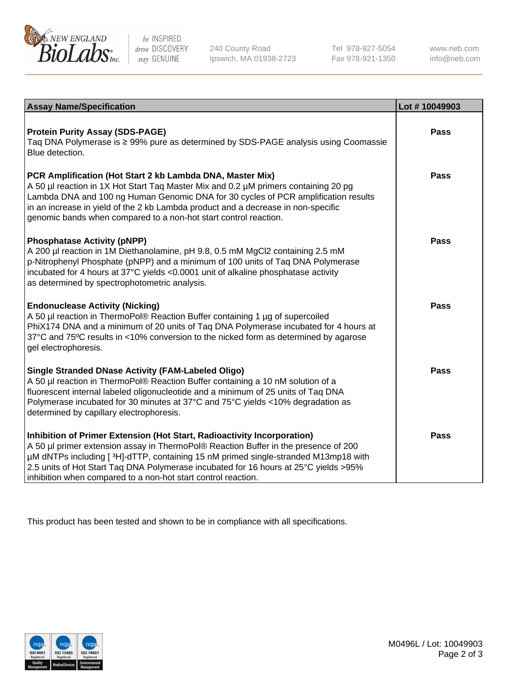

be INSPIRED drive DISCOVERY stay GENUINE

240 County Road Ipswich, MA 01938-2723 Tel 978-927-5054 Fax 978-921-1350 www.neb.com info@neb.com

| <b>Assay Name/Specification</b>                                                                                                                                                                                                                                                                                                                                                                                | Lot #10049903 |
|----------------------------------------------------------------------------------------------------------------------------------------------------------------------------------------------------------------------------------------------------------------------------------------------------------------------------------------------------------------------------------------------------------------|---------------|
| <b>Protein Purity Assay (SDS-PAGE)</b><br>Taq DNA Polymerase is ≥ 99% pure as determined by SDS-PAGE analysis using Coomassie<br>Blue detection.                                                                                                                                                                                                                                                               | <b>Pass</b>   |
| PCR Amplification (Hot Start 2 kb Lambda DNA, Master Mix)<br>A 50 µl reaction in 1X Hot Start Taq Master Mix and 0.2 µM primers containing 20 pg<br>Lambda DNA and 100 ng Human Genomic DNA for 30 cycles of PCR amplification results<br>in an increase in yield of the 2 kb Lambda product and a decrease in non-specific<br>genomic bands when compared to a non-hot start control reaction.                | <b>Pass</b>   |
| <b>Phosphatase Activity (pNPP)</b><br>A 200 µl reaction in 1M Diethanolamine, pH 9.8, 0.5 mM MgCl2 containing 2.5 mM<br>p-Nitrophenyl Phosphate (pNPP) and a minimum of 100 units of Taq DNA Polymerase<br>incubated for 4 hours at 37°C yields <0.0001 unit of alkaline phosphatase activity<br>as determined by spectrophotometric analysis.                                                                 | <b>Pass</b>   |
| <b>Endonuclease Activity (Nicking)</b><br>A 50 µl reaction in ThermoPol® Reaction Buffer containing 1 µg of supercoiled<br>PhiX174 DNA and a minimum of 20 units of Taq DNA Polymerase incubated for 4 hours at<br>37°C and 75°C results in <10% conversion to the nicked form as determined by agarose<br>gel electrophoresis.                                                                                | <b>Pass</b>   |
| <b>Single Stranded DNase Activity (FAM-Labeled Oligo)</b><br>A 50 µl reaction in ThermoPol® Reaction Buffer containing a 10 nM solution of a<br>fluorescent internal labeled oligonucleotide and a minimum of 25 units of Taq DNA<br>Polymerase incubated for 30 minutes at 37°C and 75°C yields <10% degradation as<br>determined by capillary electrophoresis.                                               | Pass          |
| Inhibition of Primer Extension (Hot Start, Radioactivity Incorporation)<br>A 50 µl primer extension assay in ThermoPol® Reaction Buffer in the presence of 200<br>µM dNTPs including [3H]-dTTP, containing 15 nM primed single-stranded M13mp18 with<br>2.5 units of Hot Start Taq DNA Polymerase incubated for 16 hours at 25°C yields > 95%<br>inhibition when compared to a non-hot start control reaction. | <b>Pass</b>   |

This product has been tested and shown to be in compliance with all specifications.